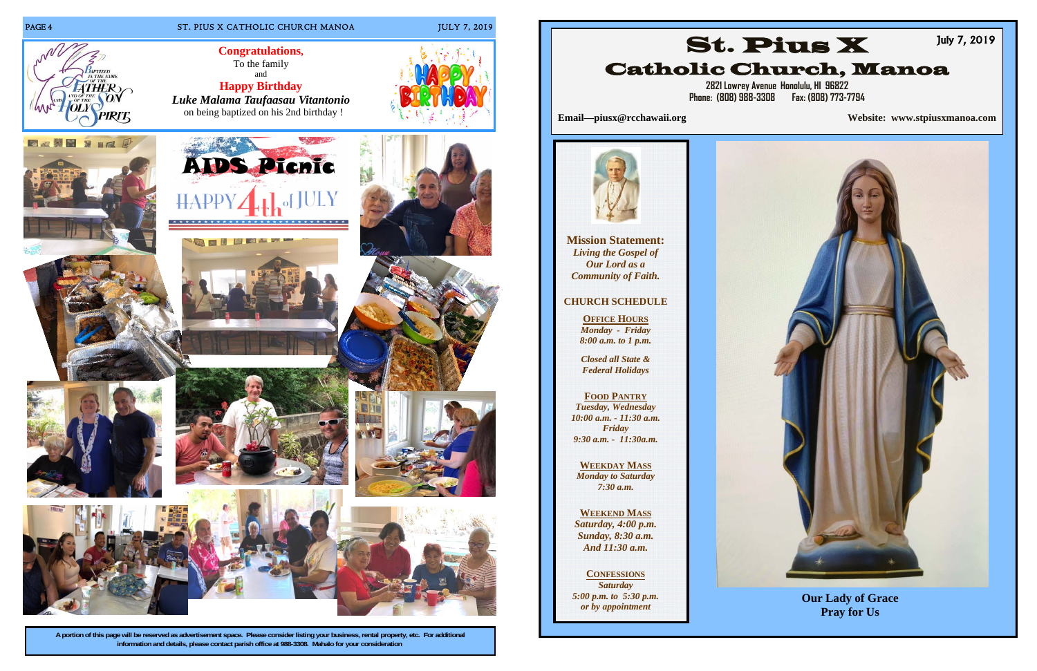

### PAGE 4 ST. PIUS X CATHOLIC CHURCH MANOA JULY 7, 2019

**A portion of this page will be reserved as advertisement space. Please consider listing your business, rental property, etc. For additional information and details, please contact parish office at 988-3308. Mahalo for your consideration.** 



PIRIT





**Congratulations,**  To the family and

**Happy Birthday** *Luke Malama Taufaasau Vitantonio* on being baptized on his 2nd birthday !





**2821 Lowrey Avenue Honolulu, HI 96822 Phone: (808) 988-3308 Fax: (808) 773-7794** 



**Email—piusx@rcchawaii.org Website: www.stpiusxmanoa.com**



**Mission Statement:**  *Living the Gospel of Our Lord as a Community of Faith.* 

### **CHURCH SCHEDULE**

**OFFICE HOURS** *Monday - Friday 8:00 a.m. to 1 p.m.* 



*Closed all State & Federal Holidays* 

#### **FOOD PANTRY**

*Tuesday, Wednesday 10:00 a.m. - 11:30 a.m. Friday 9:30 a.m. - 11:30a.m.* 

#### **WEEKDAY MASS** *Monday to Saturday*

*7:30 a.m.* 

**WEEKEND MASS**

*Saturday, 4:00 p.m. Sunday, 8:30 a.m. And 11:30 a.m.* 

**CONFESSIONS***Saturday 5:00 p.m. to 5:30 p.m. or by appointment* 

**Our Lady of Grace Pray for Us**